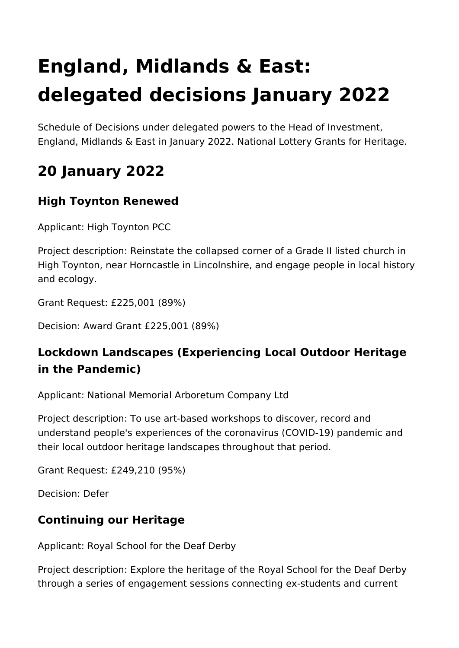# **England, Midlands & East: delegated decisions January 2022**

Schedule of Decisions under delegated powers to the Head of Investment, England, Midlands & East in January 2022. National Lottery Grants for Heritage.

# **20 January 2022**

# **High Toynton Renewed**

Applicant: High Toynton PCC

Project description: Reinstate the collapsed corner of a Grade II listed church in High Toynton, near Horncastle in Lincolnshire, and engage people in local history and ecology.

Grant Request: £225,001 (89%)

Decision: Award Grant £225,001 (89%)

# **Lockdown Landscapes (Experiencing Local Outdoor Heritage in the Pandemic)**

Applicant: National Memorial Arboretum Company Ltd

Project description: To use art-based workshops to discover, record and understand people's experiences of the coronavirus (COVID-19) pandemic and their local outdoor heritage landscapes throughout that period.

Grant Request: £249,210 (95%)

Decision: Defer

# **Continuing our Heritage**

Applicant: Royal School for the Deaf Derby

Project description: Explore the heritage of the Royal School for the Deaf Derby through a series of engagement sessions connecting ex-students and current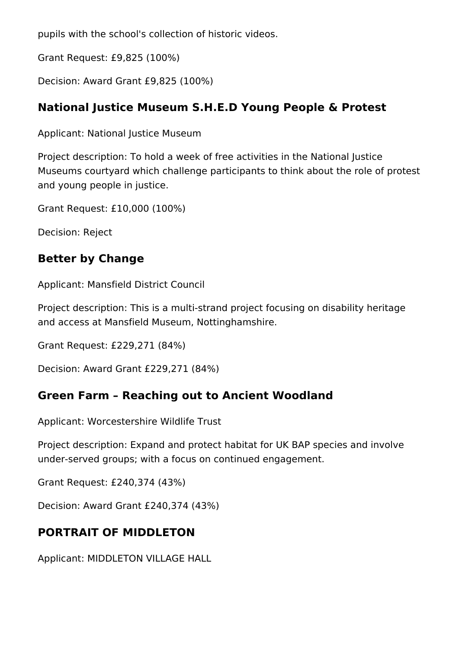pupils with the school's collection of historic videos.

Grant Request: £9,825 (100%)

Decision: Award Grant £9,825 (100%)

# **National Justice Museum S.H.E.D Young People & Protest**

Applicant: National Justice Museum

Project description: To hold a week of free activities in the National Justice Museums courtyard which challenge participants to think about the role of protest and young people in justice.

Grant Request: £10,000 (100%)

Decision: Reject

# **Better by Change**

Applicant: Mansfield District Council

Project description: This is a multi-strand project focusing on disability heritage and access at Mansfield Museum, Nottinghamshire.

Grant Request: £229,271 (84%)

Decision: Award Grant £229,271 (84%)

# **Green Farm – Reaching out to Ancient Woodland**

Applicant: Worcestershire Wildlife Trust

Project description: Expand and protect habitat for UK BAP species and involve under-served groups; with a focus on continued engagement.

Grant Request: £240,374 (43%)

Decision: Award Grant £240,374 (43%)

# **PORTRAIT OF MIDDLETON**

Applicant: MIDDLETON VILLAGE HALL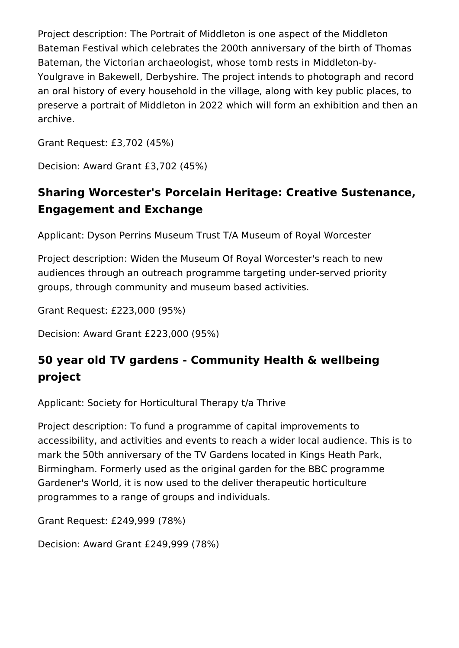Project description: The Portrait of Middleton is one aspect of the Middleton Bateman Festival which celebrates the 200th anniversary of the birth of Thomas Bateman, the Victorian archaeologist, whose tomb rests in Middleton-by-Youlgrave in Bakewell, Derbyshire. The project intends to photograph and record an oral history of every household in the village, along with key public places, to preserve a portrait of Middleton in 2022 which will form an exhibition and then an archive.

Grant Request: £3,702 (45%)

Decision: Award Grant £3,702 (45%)

# **Sharing Worcester's Porcelain Heritage: Creative Sustenance, Engagement and Exchange**

Applicant: Dyson Perrins Museum Trust T/A Museum of Royal Worcester

Project description: Widen the Museum Of Royal Worcester's reach to new audiences through an outreach programme targeting under-served priority groups, through community and museum based activities.

Grant Request: £223,000 (95%)

Decision: Award Grant £223,000 (95%)

# **50 year old TV gardens - Community Health & wellbeing project**

Applicant: Society for Horticultural Therapy t/a Thrive

Project description: To fund a programme of capital improvements to accessibility, and activities and events to reach a wider local audience. This is to mark the 50th anniversary of the TV Gardens located in Kings Heath Park, Birmingham. Formerly used as the original garden for the BBC programme Gardener's World, it is now used to the deliver therapeutic horticulture programmes to a range of groups and individuals.

Grant Request: £249,999 (78%)

Decision: Award Grant £249,999 (78%)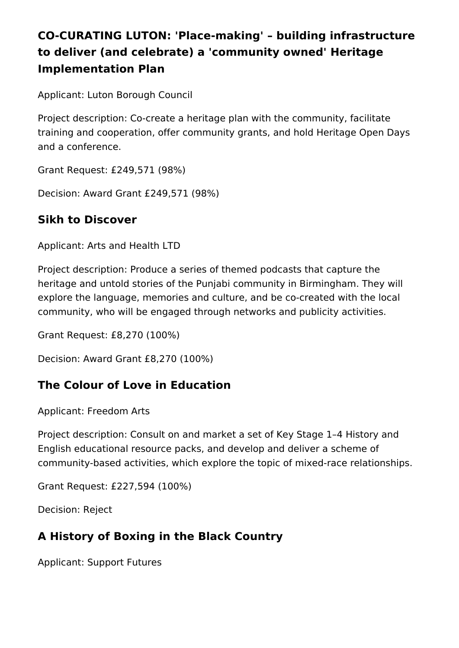# **CO-CURATING LUTON: 'Place-making' – building infrastructure to deliver (and celebrate) a 'community owned' Heritage Implementation Plan**

Applicant: Luton Borough Council

Project description: Co-create a heritage plan with the community, facilitate training and cooperation, offer community grants, and hold Heritage Open Days and a conference.

Grant Request: £249,571 (98%)

Decision: Award Grant £249,571 (98%)

#### **Sikh to Discover**

Applicant: Arts and Health LTD

Project description: Produce a series of themed podcasts that capture the heritage and untold stories of the Punjabi community in Birmingham. They will explore the language, memories and culture, and be co-created with the local community, who will be engaged through networks and publicity activities.

Grant Request: £8,270 (100%)

Decision: Award Grant £8,270 (100%)

#### **The Colour of Love in Education**

Applicant: Freedom Arts

Project description: Consult on and market a set of Key Stage 1–4 History and English educational resource packs, and develop and deliver a scheme of community-based activities, which explore the topic of mixed-race relationships.

Grant Request: £227,594 (100%)

Decision: Reject

# **A History of Boxing in the Black Country**

Applicant: Support Futures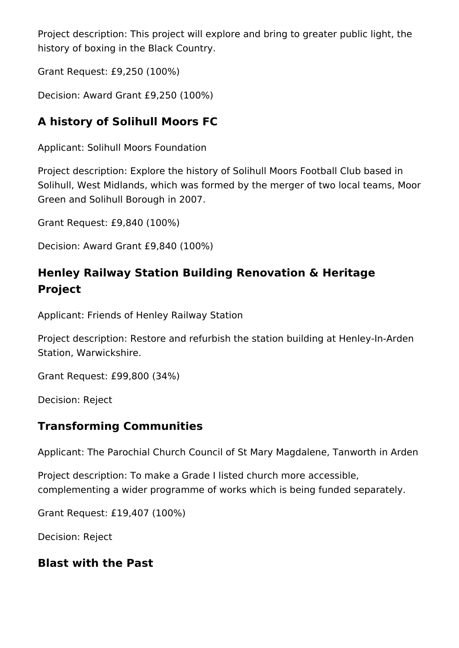Project description: This project will explore and bring to greater public light, the history of boxing in the Black Country.

Grant Request: £9,250 (100%)

Decision: Award Grant £9,250 (100%)

# **A history of Solihull Moors FC**

Applicant: Solihull Moors Foundation

Project description: Explore the history of Solihull Moors Football Club based in Solihull, West Midlands, which was formed by the merger of two local teams, Moor Green and Solihull Borough in 2007.

Grant Request: £9,840 (100%)

Decision: Award Grant £9,840 (100%)

# **Henley Railway Station Building Renovation & Heritage Project**

Applicant: Friends of Henley Railway Station

Project description: Restore and refurbish the station building at Henley-In-Arden Station, Warwickshire.

Grant Request: £99,800 (34%)

Decision: Reject

# **Transforming Communities**

Applicant: The Parochial Church Council of St Mary Magdalene, Tanworth in Arden

Project description: To make a Grade I listed church more accessible, complementing a wider programme of works which is being funded separately.

Grant Request: £19,407 (100%)

Decision: Reject

# **Blast with the Past**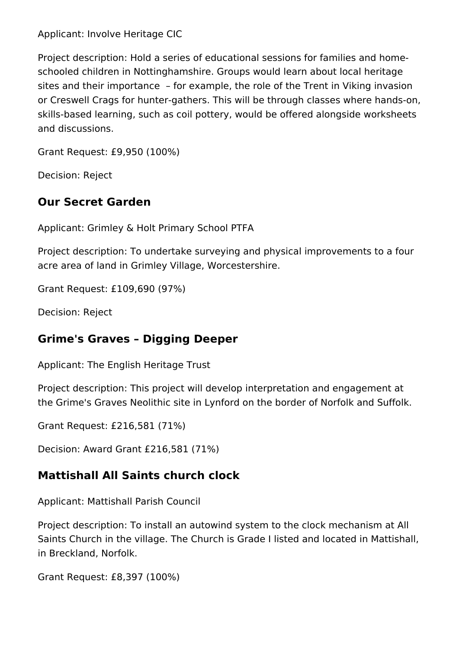#### Applicant: Involve Heritage CIC

Project description: Hold a series of educational sessions for families and homeschooled children in Nottinghamshire. Groups would learn about local heritage sites and their importance – for example, the role of the Trent in Viking invasion or Creswell Crags for hunter-gathers. This will be through classes where hands-on, skills-based learning, such as coil pottery, would be offered alongside worksheets and discussions.

Grant Request: £9,950 (100%)

Decision: Reject

#### **Our Secret Garden**

Applicant: Grimley & Holt Primary School PTFA

Project description: To undertake surveying and physical improvements to a four acre area of land in Grimley Village, Worcestershire.

Grant Request: £109,690 (97%)

Decision: Reject

#### **Grime's Graves – Digging Deeper**

Applicant: The English Heritage Trust

Project description: This project will develop interpretation and engagement at the Grime's Graves Neolithic site in Lynford on the border of Norfolk and Suffolk.

Grant Request: £216,581 (71%)

Decision: Award Grant £216,581 (71%)

#### **Mattishall All Saints church clock**

Applicant: Mattishall Parish Council

Project description: To install an autowind system to the clock mechanism at All Saints Church in the village. The Church is Grade I listed and located in Mattishall, in Breckland, Norfolk.

Grant Request: £8,397 (100%)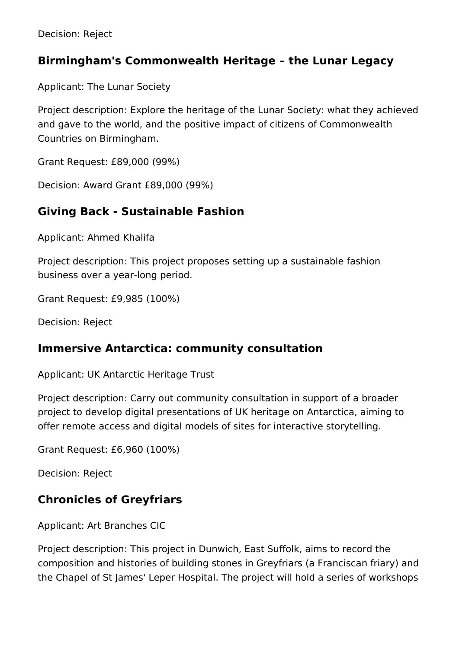Decision: Reject

#### **Birmingham's Commonwealth Heritage – the Lunar Legacy**

Applicant: The Lunar Society

Project description: Explore the heritage of the Lunar Society: what they achieved and gave to the world, and the positive impact of citizens of Commonwealth Countries on Birmingham.

Grant Request: £89,000 (99%)

Decision: Award Grant £89,000 (99%)

#### **Giving Back - Sustainable Fashion**

Applicant: Ahmed Khalifa

Project description: This project proposes setting up a sustainable fashion business over a year-long period.

Grant Request: £9,985 (100%)

Decision: Reject

#### **Immersive Antarctica: community consultation**

Applicant: UK Antarctic Heritage Trust

Project description: Carry out community consultation in support of a broader project to develop digital presentations of UK heritage on Antarctica, aiming to offer remote access and digital models of sites for interactive storytelling.

Grant Request: £6,960 (100%)

Decision: Reject

#### **Chronicles of Greyfriars**

Applicant: Art Branches CIC

Project description: This project in Dunwich, East Suffolk, aims to record the composition and histories of building stones in Greyfriars (a Franciscan friary) and the Chapel of St James' Leper Hospital. The project will hold a series of workshops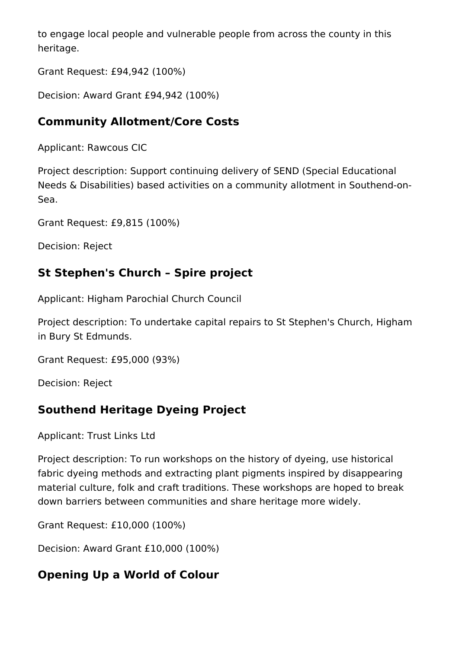to engage local people and vulnerable people from across the county in this heritage.

Grant Request: £94,942 (100%)

Decision: Award Grant £94,942 (100%)

# **Community Allotment/Core Costs**

Applicant: Rawcous CIC

Project description: Support continuing delivery of SEND (Special Educational Needs & Disabilities) based activities on a community allotment in Southend-on-Sea.

Grant Request: £9,815 (100%)

Decision: Reject

# **St Stephen's Church – Spire project**

Applicant: Higham Parochial Church Council

Project description: To undertake capital repairs to St Stephen's Church, Higham in Bury St Edmunds.

Grant Request: £95,000 (93%)

Decision: Reject

# **Southend Heritage Dyeing Project**

Applicant: Trust Links Ltd

Project description: To run workshops on the history of dyeing, use historical fabric dyeing methods and extracting plant pigments inspired by disappearing material culture, folk and craft traditions. These workshops are hoped to break down barriers between communities and share heritage more widely.

Grant Request: £10,000 (100%)

Decision: Award Grant £10,000 (100%)

# **Opening Up a World of Colour**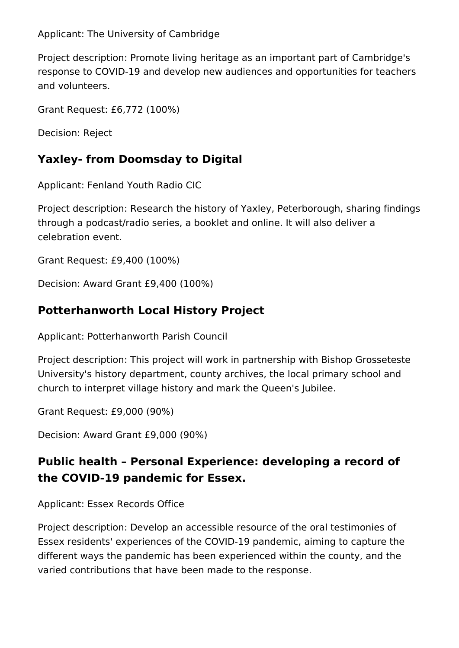Applicant: The University of Cambridge

Project description: Promote living heritage as an important part of Cambridge's response to COVID-19 and develop new audiences and opportunities for teachers and volunteers.

Grant Request: £6,772 (100%)

Decision: Reject

# **Yaxley- from Doomsday to Digital**

Applicant: Fenland Youth Radio CIC

Project description: Research the history of Yaxley, Peterborough, sharing findings through a podcast/radio series, a booklet and online. It will also deliver a celebration event.

Grant Request: £9,400 (100%)

Decision: Award Grant £9,400 (100%)

# **Potterhanworth Local History Project**

Applicant: Potterhanworth Parish Council

Project description: This project will work in partnership with Bishop Grosseteste University's history department, county archives, the local primary school and church to interpret village history and mark the Queen's Jubilee.

Grant Request: £9,000 (90%)

Decision: Award Grant £9,000 (90%)

# **Public health – Personal Experience: developing a record of the COVID-19 pandemic for Essex.**

Applicant: Essex Records Office

Project description: Develop an accessible resource of the oral testimonies of Essex residents' experiences of the COVID-19 pandemic, aiming to capture the different ways the pandemic has been experienced within the county, and the varied contributions that have been made to the response.